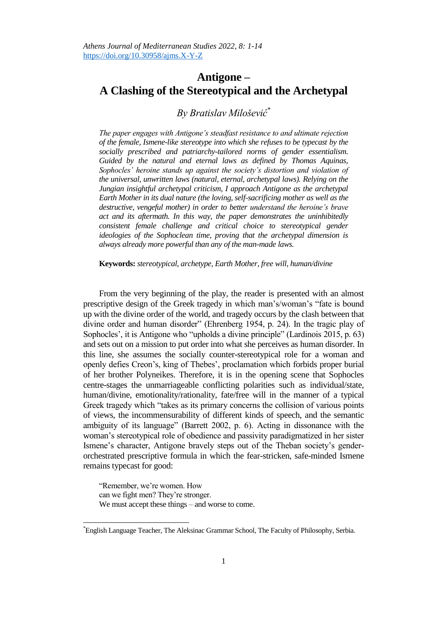## **Antigone – A Clashing of the Stereotypical and the Archetypal**

## *By Bratislav Milošević\**

*The paper engages with Antigone's steadfast resistance to and ultimate rejection of the female, Ismene-like stereotype into which she refuses to be typecast by the socially prescribed and patriarchy-tailored norms of gender essentialism. Guided by the natural and eternal laws as defined by Thomas Aquinas, Sophocles' heroine stands up against the society's distortion and violation of the universal, unwritten laws (natural, eternal, archetypal laws). Relying on the Jungian insightful archetypal criticism, I approach Antigone as the archetypal Earth Mother in its dual nature (the loving, self-sacrificing mother as well as the destructive, vengeful mother) in order to better understand the heroine's brave act and its aftermath. In this way, the paper demonstrates the uninhibitedly consistent female challenge and critical choice to stereotypical gender ideologies of the Sophoclean time, proving that the archetypal dimension is always already more powerful than any of the man-made laws.* 

**Keywords:** *stereotypical, archetype, Earth Mother, free will, human/divine* 

From the very beginning of the play, the reader is presented with an almost prescriptive design of the Greek tragedy in which man"s/woman"s "fate is bound up with the divine order of the world, and tragedy occurs by the clash between that divine order and human disorder" (Ehrenberg 1954, p. 24). In the tragic play of Sophocles', it is Antigone who "upholds a divine principle" (Lardinois 2015, p. 63) and sets out on a mission to put order into what she perceives as human disorder. In this line, she assumes the socially counter-stereotypical role for a woman and openly defies Creon"s, king of Thebes", proclamation which forbids proper burial of her brother Polyneikes. Therefore, it is in the opening scene that Sophocles centre-stages the unmarriageable conflicting polarities such as individual/state, human/divine, emotionality/rationality, fate/free will in the manner of a typical Greek tragedy which "takes as its primary concerns the collision of various points of views, the incommensurability of different kinds of speech, and the semantic ambiguity of its language" (Barrett 2002, p. 6). Acting in dissonance with the woman"s stereotypical role of obedience and passivity paradigmatized in her sister Ismene's character, Antigone bravely steps out of the Theban society's genderorchestrated prescriptive formula in which the fear-stricken, safe-minded Ismene remains typecast for good:

"Remember, we"re women. How can we fight men? They're stronger. We must accept these things – and worse to come.

<sup>\*</sup>English Language Teacher, The Aleksinac Grammar School, The Faculty of Philosophy, Serbia.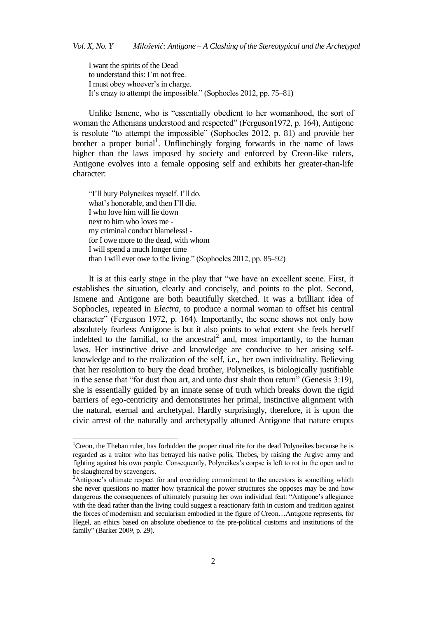I want the spirits of the Dead to understand this: I"m not free. I must obey whoever"s in charge. It's crazy to attempt the impossible." (Sophocles 2012, pp. 75–81)

Unlike Ismene, who is "essentially obedient to her womanhood, the sort of woman the Athenians understood and respected" (Ferguson1972, p. 164), Antigone is resolute "to attempt the impossible" (Sophocles 2012, p. 81) and provide her brother a proper burial<sup>1</sup>. Unflinchingly forging forwards in the name of laws higher than the laws imposed by society and enforced by Creon-like rulers, Antigone evolves into a female opposing self and exhibits her greater-than-life character:

"I"ll bury Polyneikes myself. I"ll do. what"s honorable, and then I"ll die. I who love him will lie down next to him who loves me my criminal conduct blameless! for I owe more to the dead, with whom I will spend a much longer time than I will ever owe to the living." (Sophocles 2012, pp. 85–92)

It is at this early stage in the play that "we have an excellent scene. First, it establishes the situation, clearly and concisely, and points to the plot. Second, Ismene and Antigone are both beautifully sketched. It was a brilliant idea of Sophocles, repeated in *Electra*, to produce a normal woman to offset his central character" (Ferguson 1972, p. 164). Importantly, the scene shows not only how absolutely fearless Antigone is but it also points to what extent she feels herself indebted to the familial, to the ancestral<sup>2</sup> and, most importantly, to the human laws. Her instinctive drive and knowledge are conducive to her arising selfknowledge and to the realization of the self, i.e., her own individuality. Believing that her resolution to bury the dead brother, Polyneikes, is biologically justifiable in the sense that "for dust thou art, and unto dust shalt thou return" (Genesis 3:19), she is essentially guided by an innate sense of truth which breaks down the rigid barriers of ego-centricity and demonstrates her primal, instinctive alignment with the natural, eternal and archetypal. Hardly surprisingly, therefore, it is upon the civic arrest of the naturally and archetypally attuned Antigone that nature erupts

 $\overline{a}$ 

<sup>&</sup>lt;sup>1</sup> Creon, the Theban ruler, has forbidden the proper ritual rite for the dead Polyneikes because he is regarded as a traitor who has betrayed his native polis, Thebes, by raising the Argive army and fighting against his own people. Consequently, Polyneikes"s corpse is left to rot in the open and to be slaughtered by scavengers.

<sup>&</sup>lt;sup>2</sup>Antigone's ultimate respect for and overriding commitment to the ancestors is something which she never questions no matter how tyrannical the power structures she opposes may be and how dangerous the consequences of ultimately pursuing her own individual feat: "Antigone's allegiance with the dead rather than the living could suggest a reactionary faith in custom and tradition against the forces of modernism and secularism embodied in the figure of Creon…Antigone represents, for Hegel, an ethics based on absolute obedience to the pre-political customs and institutions of the family" (Barker 2009, p. 29).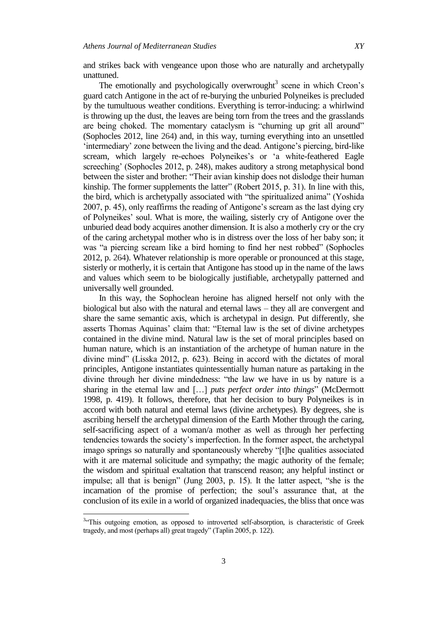and strikes back with vengeance upon those who are naturally and archetypally unattuned.

The emotionally and psychologically overwrought<sup>3</sup> scene in which Creon's guard catch Antigone in the act of re-burying the unburied Polyneikes is precluded by the tumultuous weather conditions. Everything is terror-inducing: a whirlwind is throwing up the dust, the leaves are being torn from the trees and the grasslands are being choked. The momentary cataclysm is "churning up grit all around" (Sophocles 2012, line 264) and, in this way, turning everything into an unsettled "intermediary" zone between the living and the dead. Antigone"s piercing, bird-like scream, which largely re-echoes Polyneikes's or 'a white-feathered Eagle screeching' (Sophocles 2012, p. 248), makes auditory a strong metaphysical bond between the sister and brother: "Their avian kinship does not dislodge their human kinship. The former supplements the latter" (Robert 2015, p. 31). In line with this, the bird, which is archetypally associated with "the spiritualized anima" (Yoshida 2007, p. 45), only reaffirms the reading of Antigone"s scream as the last dying cry of Polyneikes" soul. What is more, the wailing, sisterly cry of Antigone over the unburied dead body acquires another dimension. It is also a motherly cry or the cry of the caring archetypal mother who is in distress over the loss of her baby son; it was "a piercing scream like a bird homing to find her nest robbed" (Sophocles 2012, p. 264). Whatever relationship is more operable or pronounced at this stage, sisterly or motherly, it is certain that Antigone has stood up in the name of the laws and values which seem to be biologically justifiable, archetypally patterned and universally well grounded.

In this way, the Sophoclean heroine has aligned herself not only with the biological but also with the natural and eternal laws – they all are convergent and share the same semantic axis, which is archetypal in design. Put differently, she asserts Thomas Aquinas' claim that: "Eternal law is the set of divine archetypes contained in the divine mind. Natural law is the set of moral principles based on human nature, which is an instantiation of the archetype of human nature in the divine mind" (Lisska 2012, p. 623). Being in accord with the dictates of moral principles, Antigone instantiates quintessentially human nature as partaking in the divine through her divine mindedness: "the law we have in us by nature is a sharing in the eternal law and […] *puts perfect order into things*" (McDermott 1998, p. 419). It follows, therefore, that her decision to bury Polyneikes is in accord with both natural and eternal laws (divine archetypes). By degrees, she is ascribing herself the archetypal dimension of the Earth Mother through the caring, self-sacrificing aspect of a woman/a mother as well as through her perfecting tendencies towards the society"s imperfection. In the former aspect, the archetypal imago springs so naturally and spontaneously whereby "[t]he qualities associated with it are maternal solicitude and sympathy; the magic authority of the female; the wisdom and spiritual exaltation that transcend reason; any helpful instinct or impulse; all that is benign" (Jung 2003, p. 15). It the latter aspect, "she is the incarnation of the promise of perfection; the soul"s assurance that, at the conclusion of its exile in a world of organized inadequacies, the bliss that once was

 $\overline{a}$ 

<sup>&</sup>lt;sup>3.</sup> This outgoing emotion, as opposed to introverted self-absorption, is characteristic of Greek tragedy, and most (perhaps all) great tragedy" (Taplin 2005, p. 122).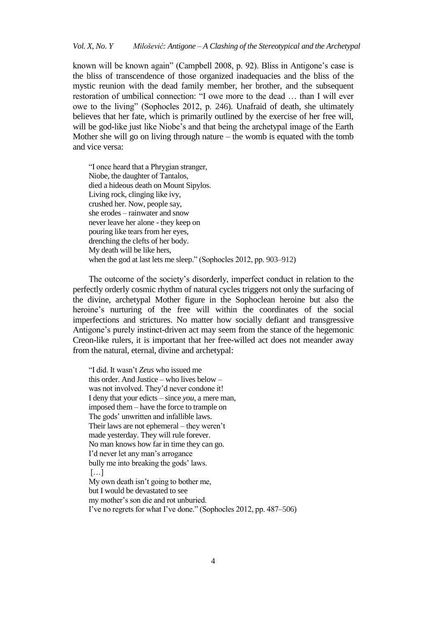known will be known again" (Campbell 2008, p. 92). Bliss in Antigone's case is the bliss of transcendence of those organized inadequacies and the bliss of the mystic reunion with the dead family member, her brother, and the subsequent restoration of umbilical connection: "I owe more to the dead … than I will ever owe to the living" (Sophocles 2012, p. 246). Unafraid of death, she ultimately believes that her fate, which is primarily outlined by the exercise of her free will, will be god-like just like Niobe's and that being the archetypal image of the Earth Mother she will go on living through nature – the womb is equated with the tomb and vice versa:

"I once heard that a Phrygian stranger, Niobe, the daughter of Tantalos, died a hideous death on Mount Sipylos. Living rock, clinging like ivy, crushed her. Now, people say, she erodes – rainwater and snow never leave her alone - they keep on pouring like tears from her eyes, drenching the clefts of her body. My death will be like hers, when the god at last lets me sleep." (Sophocles 2012, pp. 903–912)

The outcome of the society"s disorderly, imperfect conduct in relation to the perfectly orderly cosmic rhythm of natural cycles triggers not only the surfacing of the divine, archetypal Mother figure in the Sophoclean heroine but also the heroine's nurturing of the free will within the coordinates of the social imperfections and strictures. No matter how socially defiant and transgressive Antigone's purely instinct-driven act may seem from the stance of the hegemonic Creon-like rulers, it is important that her free-willed act does not meander away from the natural, eternal, divine and archetypal:

"I did. It wasn"t *Zeus* who issued me this order. And Justice – who lives below – was not involved. They"d never condone it! I deny that your edicts – since *you*, a mere man, imposed them – have the force to trample on The gods' unwritten and infallible laws. Their laws are not ephemeral – they weren"t made yesterday. They will rule forever. No man knows how far in time they can go. I"d never let any man"s arrogance bully me into breaking the gods' laws. […] My own death isn"t going to bother me, but I would be devastated to see my mother"s son die and rot unburied. I"ve no regrets for what I"ve done." (Sophocles 2012, pp. 487–506)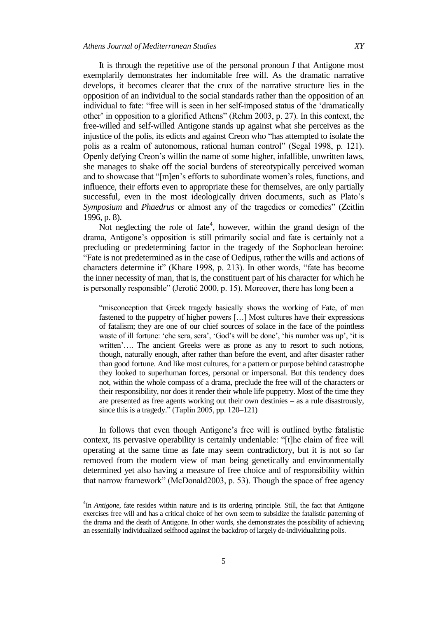It is through the repetitive use of the personal pronoun *I* that Antigone most exemplarily demonstrates her indomitable free will. As the dramatic narrative develops, it becomes clearer that the crux of the narrative structure lies in the opposition of an individual to the social standards rather than the opposition of an individual to fate: "free will is seen in her self-imposed status of the "dramatically other" in opposition to a glorified Athens" (Rehm 2003, p. 27). In this context, the free-willed and self-willed Antigone stands up against what she perceives as the injustice of the polis, its edicts and against Creon who "has attempted to isolate the polis as a realm of autonomous, rational human control" (Segal 1998, p. 121). Openly defying Creon"s willin the name of some higher, infallible, unwritten laws, she manages to shake off the social burdens of stereotypically perceived woman and to showcase that "[m]en's efforts to subordinate women's roles, functions, and influence, their efforts even to appropriate these for themselves, are only partially successful, even in the most ideologically driven documents, such as Plato's *Symposium* and *Phaedrus* or almost any of the tragedies or comedies" (Zeitlin 1996, p. 8).

Not neglecting the role of fate<sup>4</sup>, however, within the grand design of the drama, Antigone"s opposition is still primarily social and fate is certainly not a precluding or predetermining factor in the tragedy of the Sophoclean heroine: "Fate is not predetermined as in the case of Oedipus, rather the wills and actions of characters determine it" (Khare 1998, p. 213). In other words, "fate has become the inner necessity of man, that is, the constituent part of his character for which he is personally responsible" (Jerotić 2000, p. 15). Moreover, there has long been a

"misconception that Greek tragedy basically shows the working of Fate, of men fastened to the puppetry of higher powers […] Most cultures have their expressions of fatalism; they are one of our chief sources of solace in the face of the pointless waste of ill fortune: 'che sera, sera', 'God's will be done', 'his number was up', 'it is written'.... The ancient Greeks were as prone as any to resort to such notions, though, naturally enough, after rather than before the event, and after disaster rather than good fortune. And like most cultures, for a pattern or purpose behind catastrophe they looked to superhuman forces, personal or impersonal. But this tendency does not, within the whole compass of a drama, preclude the free will of the characters or their responsibility, nor does it render their whole life puppetry. Most of the time they are presented as free agents working out their own destinies – as a rule disastrously, since this is a tragedy." (Taplin 2005, pp. 120–121)

In follows that even though Antigone"s free will is outlined bythe fatalistic context, its pervasive operability is certainly undeniable: "[t]he claim of free will operating at the same time as fate may seem contradictory, but it is not so far removed from the modern view of man being genetically and environmentally determined yet also having a measure of free choice and of responsibility within that narrow framework" (McDonald2003, p. 53). Though the space of free agency

 $\overline{a}$ 

<sup>4</sup> In *Antigone*, fate resides within nature and is its ordering principle. Still, the fact that Antigone exercises free will and has a critical choice of her own seem to subsidize the fatalistic patterning of the drama and the death of Antigone. In other words, she demonstrates the possibility of achieving an essentially individualized selfhood against the backdrop of largely de-individualizing polis.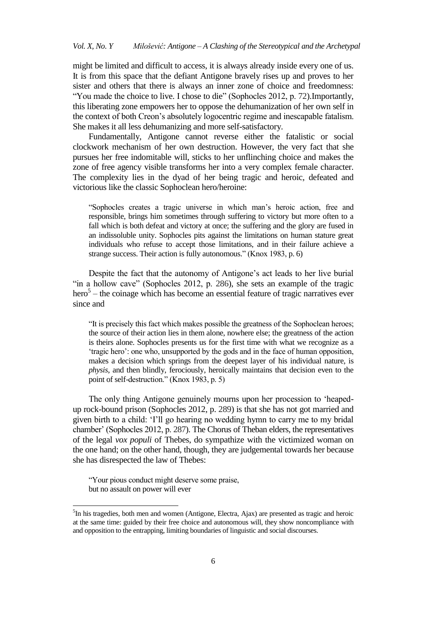might be limited and difficult to access, it is always already inside every one of us. It is from this space that the defiant Antigone bravely rises up and proves to her sister and others that there is always an inner zone of choice and freedomness: "You made the choice to live. I chose to die" (Sophocles 2012, p. 72).Importantly, this liberating zone empowers her to oppose the dehumanization of her own self in the context of both Creon"s absolutely logocentric regime and inescapable fatalism. She makes it all less dehumanizing and more self-satisfactory.

Fundamentally, Antigone cannot reverse either the fatalistic or social clockwork mechanism of her own destruction. However, the very fact that she pursues her free indomitable will, sticks to her unflinching choice and makes the zone of free agency visible transforms her into a very complex female character. The complexity lies in the dyad of her being tragic and heroic, defeated and victorious like the classic Sophoclean hero/heroine:

"Sophocles creates a tragic universe in which man"s heroic action, free and responsible, brings him sometimes through suffering to victory but more often to a fall which is both defeat and victory at once; the suffering and the glory are fused in an indissoluble unity. Sophocles pits against the limitations on human stature great individuals who refuse to accept those limitations, and in their failure achieve a strange success. Their action is fully autonomous." (Knox 1983, p. 6)

Despite the fact that the autonomy of Antigone's act leads to her live burial "in a hollow cave" (Sophocles 2012, p. 286), she sets an example of the tragic hero<sup>5</sup> – the coinage which has become an essential feature of tragic narratives ever since and

"It is precisely this fact which makes possible the greatness of the Sophoclean heroes; the source of their action lies in them alone, nowhere else; the greatness of the action is theirs alone. Sophocles presents us for the first time with what we recognize as a "tragic hero": one who, unsupported by the gods and in the face of human opposition, makes a decision which springs from the deepest layer of his individual nature, is *physis*, and then blindly, ferociously, heroically maintains that decision even to the point of self-destruction." (Knox 1983, p. 5)

The only thing Antigone genuinely mourns upon her procession to "heapedup rock-bound prison (Sophocles 2012, p. 289) is that she has not got married and given birth to a child: "I"ll go hearing no wedding hymn to carry me to my bridal chamber" (Sophocles 2012, p. 287). The Chorus of Theban elders, the representatives of the legal *vox populi* of Thebes, do sympathize with the victimized woman on the one hand; on the other hand, though, they are judgemental towards her because she has disrespected the law of Thebes:

"Your pious conduct might deserve some praise, but no assault on power will ever

<sup>&</sup>lt;sup>5</sup>In his tragedies, both men and women (Antigone, Electra, Ajax) are presented as tragic and heroic at the same time: guided by their free choice and autonomous will, they show noncompliance with and opposition to the entrapping, limiting boundaries of linguistic and social discourses.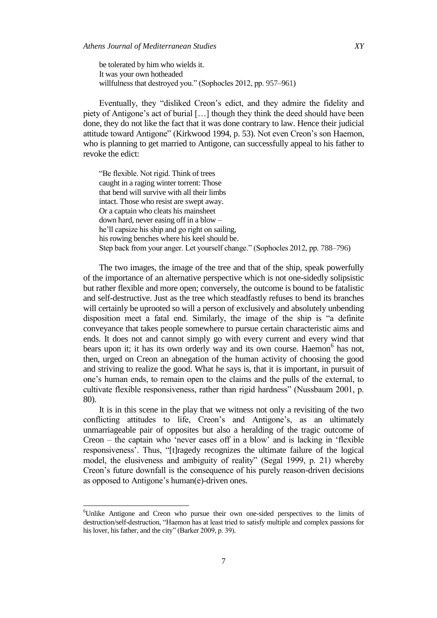be tolerated by him who wields it. It was your own hotheaded willfulness that destroyed you." (Sophocles 2012, pp. 957–961)

Eventually, they "disliked Creon's edict, and they admire the fidelity and piety of Antigone"s act of burial […] though they think the deed should have been done, they do not like the fact that it was done contrary to law. Hence their judicial attitude toward Antigone" (Kirkwood 1994, p. 53). Not even Creon"s son Haemon, who is planning to get married to Antigone, can successfully appeal to his father to revoke the edict:

"Be flexible. Not rigid. Think of trees caught in a raging winter torrent: Those that bend will survive with all their limbs intact. Those who resist are swept away. Or a captain who cleats his mainsheet down hard, never easing off in a blow – he"ll capsize his ship and go right on sailing, his rowing benches where his keel should be. Step back from your anger. Let yourself change." (Sophocles 2012, pp. 788–796)

The two images, the image of the tree and that of the ship, speak powerfully of the importance of an alternative perspective which is not one-sidedly solipsistic but rather flexible and more open; conversely, the outcome is bound to be fatalistic and self-destructive. Just as the tree which steadfastly refuses to bend its branches will certainly be uprooted so will a person of exclusively and absolutely unbending disposition meet a fatal end. Similarly, the image of the ship is "a definite conveyance that takes people somewhere to pursue certain characteristic aims and ends. It does not and cannot simply go with every current and every wind that bears upon it; it has its own orderly way and its own course. Haemon<sup>6</sup> has not, then, urged on Creon an abnegation of the human activity of choosing the good and striving to realize the good. What he says is, that it is important, in pursuit of one"s human ends, to remain open to the claims and the pulls of the external, to cultivate flexible responsiveness, rather than rigid hardness" (Nussbaum 2001, p. 80).

It is in this scene in the play that we witness not only a revisiting of the two conflicting attitudes to life, Creon's and Antigone's, as an ultimately unmarriageable pair of opposites but also a heralding of the tragic outcome of Creon – the captain who "never eases off in a blow" and is lacking in "flexible responsiveness'. Thus, "[t]ragedy recognizes the ultimate failure of the logical model, the elusiveness and ambiguity of reality" (Segal 1999, p. 21) whereby Creon"s future downfall is the consequence of his purely reason-driven decisions as opposed to Antigone's human(e)-driven ones.

<sup>&</sup>lt;sup>6</sup>Unlike Antigone and Creon who pursue their own one-sided perspectives to the limits of destruction/self-destruction, "Haemon has at least tried to satisfy multiple and complex passions for his lover, his father, and the city" (Barker 2009, p. 39).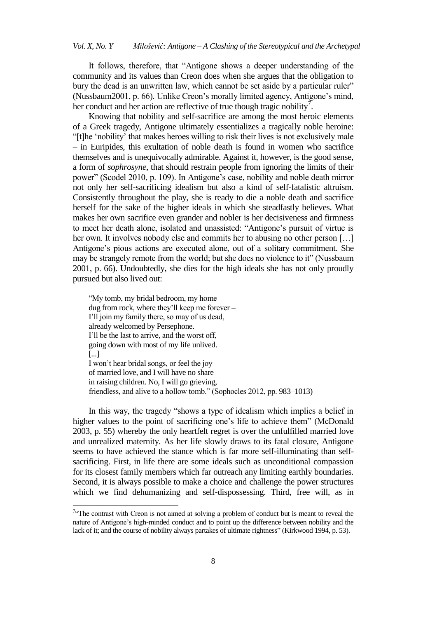It follows, therefore, that "Antigone shows a deeper understanding of the community and its values than Creon does when she argues that the obligation to bury the dead is an unwritten law, which cannot be set aside by a particular ruler" (Nussbaum2001, p. 66). Unlike Creon"s morally limited agency, Antigone"s mind, her conduct and her action are reflective of true though tragic nobility<sup>7</sup>.

Knowing that nobility and self-sacrifice are among the most heroic elements of a Greek tragedy, Antigone ultimately essentializes a tragically noble heroine: "[t]he "nobility" that makes heroes willing to risk their lives is not exclusively male – in Euripides, this exultation of noble death is found in women who sacrifice themselves and is unequivocally admirable. Against it, however, is the good sense, a form of *sophrosyne*, that should restrain people from ignoring the limits of their power" (Scodel 2010, p. 109). In Antigone"s case, nobility and noble death mirror not only her self-sacrificing idealism but also a kind of self-fatalistic altruism. Consistently throughout the play, she is ready to die a noble death and sacrifice herself for the sake of the higher ideals in which she steadfastly believes. What makes her own sacrifice even grander and nobler is her decisiveness and firmness to meet her death alone, isolated and unassisted: "Antigone"s pursuit of virtue is her own. It involves nobody else and commits her to abusing no other person [...] Antigone's pious actions are executed alone, out of a solitary commitment. She may be strangely remote from the world; but she does no violence to it" (Nussbaum 2001, p. 66). Undoubtedly, she dies for the high ideals she has not only proudly pursued but also lived out:

"My tomb, my bridal bedroom, my home dug from rock, where they"ll keep me forever – I"ll join my family there, so may of us dead, already welcomed by Persephone. I"ll be the last to arrive, and the worst off, going down with most of my life unlived. [...] I won"t hear bridal songs, or feel the joy of married love, and I will have no share in raising children. No, I will go grieving, friendless, and alive to a hollow tomb." (Sophocles 2012, pp. 983–1013)

In this way, the tragedy "shows a type of idealism which implies a belief in higher values to the point of sacrificing one's life to achieve them" (McDonald 2003, p. 55) whereby the only heartfelt regret is over the unfulfilled married love and unrealized maternity. As her life slowly draws to its fatal closure, Antigone seems to have achieved the stance which is far more self-illuminating than selfsacrificing. First, in life there are some ideals such as unconditional compassion for its closest family members which far outreach any limiting earthly boundaries. Second, it is always possible to make a choice and challenge the power structures which we find dehumanizing and self-dispossessing. Third, free will, as in

<sup>&</sup>lt;sup>7. $\alpha$ </sup>The contrast with Creon is not aimed at solving a problem of conduct but is meant to reveal the nature of Antigone"s high-minded conduct and to point up the difference between nobility and the lack of it; and the course of nobility always partakes of ultimate rightness" (Kirkwood 1994, p. 53).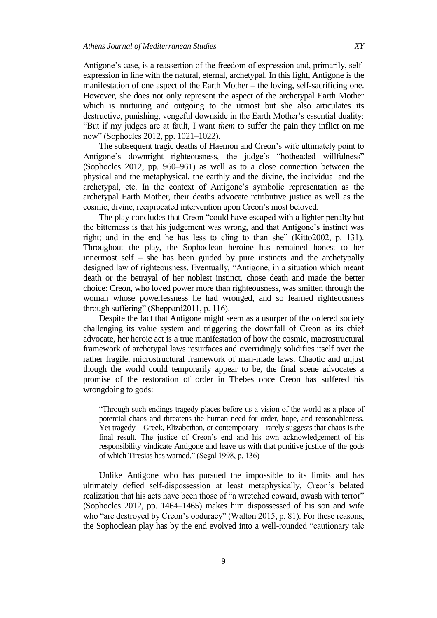Antigone's case, is a reassertion of the freedom of expression and, primarily, selfexpression in line with the natural, eternal, archetypal. In this light, Antigone is the manifestation of one aspect of the Earth Mother – the loving, self-sacrificing one. However, she does not only represent the aspect of the archetypal Earth Mother which is nurturing and outgoing to the utmost but she also articulates its destructive, punishing, vengeful downside in the Earth Mother's essential duality: "But if my judges are at fault, I want *them* to suffer the pain they inflict on me now" (Sophocles 2012, pp. 1021–1022).

The subsequent tragic deaths of Haemon and Creon's wife ultimately point to Antigone's downright righteousness, the judge's "hotheaded willfulness" (Sophocles 2012, pp. 960–961) as well as to a close connection between the physical and the metaphysical, the earthly and the divine, the individual and the archetypal, etc. In the context of Antigone"s symbolic representation as the archetypal Earth Mother, their deaths advocate retributive justice as well as the cosmic, divine, reciprocated intervention upon Creon"s most beloved.

The play concludes that Creon "could have escaped with a lighter penalty but the bitterness is that his judgement was wrong, and that Antigone"s instinct was right; and in the end he has less to cling to than she" (Kitto2002, p. 131). Throughout the play, the Sophoclean heroine has remained honest to her innermost self – she has been guided by pure instincts and the archetypally designed law of righteousness. Eventually, "Antigone, in a situation which meant death or the betrayal of her noblest instinct, chose death and made the better choice: Creon, who loved power more than righteousness, was smitten through the woman whose powerlessness he had wronged, and so learned righteousness through suffering" (Sheppard2011, p. 116).

Despite the fact that Antigone might seem as a usurper of the ordered society challenging its value system and triggering the downfall of Creon as its chief advocate, her heroic act is a true manifestation of how the cosmic, macrostructural framework of archetypal laws resurfaces and overridingly solidifies itself over the rather fragile, microstructural framework of man-made laws. Chaotic and unjust though the world could temporarily appear to be, the final scene advocates a promise of the restoration of order in Thebes once Creon has suffered his wrongdoing to gods:

"Through such endings tragedy places before us a vision of the world as a place of potential chaos and threatens the human need for order, hope, and reasonableness. Yet tragedy – Greek, Elizabethan, or contemporary – rarely suggests that chaos is the final result. The justice of Creon's end and his own acknowledgement of his responsibility vindicate Antigone and leave us with that punitive justice of the gods of which Tiresias has warned." (Segal 1998, p. 136)

Unlike Antigone who has pursued the impossible to its limits and has ultimately defied self-dispossession at least metaphysically, Creon"s belated realization that his acts have been those of "a wretched coward, awash with terror" (Sophocles 2012, pp. 1464–1465) makes him dispossessed of his son and wife who "are destroyed by Creon's obduracy" (Walton 2015, p. 81). For these reasons, the Sophoclean play has by the end evolved into a well-rounded "cautionary tale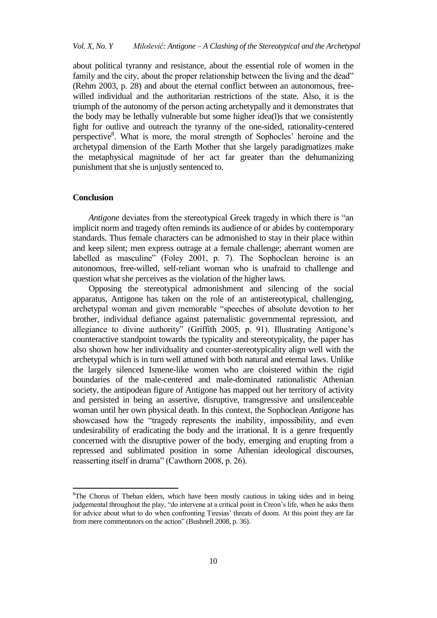about political tyranny and resistance, about the essential role of women in the family and the city, about the proper relationship between the living and the dead" (Rehm 2003, p. 28) and about the eternal conflict between an autonomous, freewilled individual and the authoritarian restrictions of the state. Also, it is the triumph of the autonomy of the person acting archetypally and it demonstrates that the body may be lethally vulnerable but some higher idea(l)s that we consistently fight for outlive and outreach the tyranny of the one-sided, rationality-centered perspective<sup>8</sup>. What is more, the moral strength of Sophocles' heroine and the archetypal dimension of the Earth Mother that she largely paradigmatizes make the metaphysical magnitude of her act far greater than the dehumanizing punishment that she is unjustly sentenced to.

## **Conclusion**

 $\overline{a}$ 

*Antigone* deviates from the stereotypical Greek tragedy in which there is "an implicit norm and tragedy often reminds its audience of or abides by contemporary standards. Thus female characters can be admonished to stay in their place within and keep silent; men express outrage at a female challenge; aberrant women are labelled as masculine" (Foley 2001, p. 7). The Sophoclean heroine is an autonomous, free-willed, self-reliant woman who is unafraid to challenge and question what she perceives as the violation of the higher laws.

Opposing the stereotypical admonishment and silencing of the social apparatus, Antigone has taken on the role of an antistereotypical, challenging, archetypal woman and given memorable "speeches of absolute devotion to her brother, individual defiance against paternalistic governmental repression, and allegiance to divine authority" (Griffith 2005, p. 91). Illustrating Antigone"s counteractive standpoint towards the typicality and stereotypicality, the paper has also shown how her individuality and counter-stereotypicality align well with the archetypal which is in turn well attuned with both natural and eternal laws. Unlike the largely silenced Ismene-like women who are cloistered within the rigid boundaries of the male-centered and male-dominated rationalistic Athenian society, the antipodean figure of Antigone has mapped out her territory of activity and persisted in being an assertive, disruptive, transgressive and unsilenceable woman until her own physical death. In this context, the Sophoclean *Antigone* has showcased how the "tragedy represents the inability, impossibility, and even undesirability of eradicating the body and the irrational. It is a genre frequently concerned with the disruptive power of the body, emerging and erupting from a repressed and sublimated position in some Athenian ideological discourses, reasserting itself in drama" (Cawthorn 2008, p. 26).

<sup>&</sup>lt;sup>8</sup>The Chorus of Theban elders, which have been mostly cautious in taking sides and in being judgemental throughout the play, "do intervene at a critical point in Creon"s life, when he asks them for advice about what to do when confronting Tiresias' threats of doom. At this point they are far from mere commentators on the action" (Bushnell 2008, p. 36).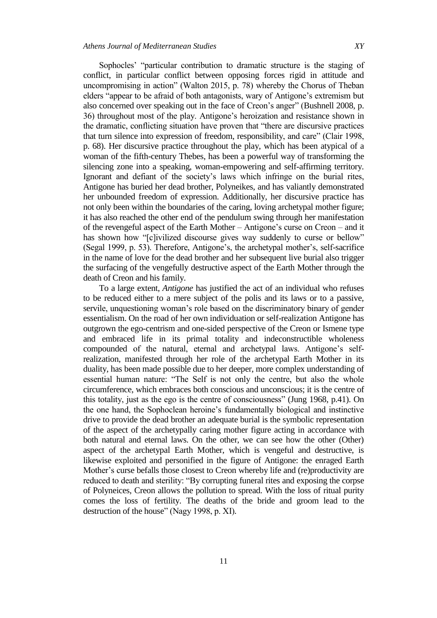Sophocles" "particular contribution to dramatic structure is the staging of conflict, in particular conflict between opposing forces rigid in attitude and uncompromising in action" (Walton 2015, p. 78) whereby the Chorus of Theban elders "appear to be afraid of both antagonists, wary of Antigone's extremism but also concerned over speaking out in the face of Creon"s anger" (Bushnell 2008, p. 36) throughout most of the play. Antigone"s heroization and resistance shown in the dramatic, conflicting situation have proven that "there are discursive practices that turn silence into expression of freedom, responsibility, and care" (Clair 1998, p. 68). Her discursive practice throughout the play, which has been atypical of a woman of the fifth-century Thebes, has been a powerful way of transforming the silencing zone into a speaking, woman-empowering and self-affirming territory. Ignorant and defiant of the society's laws which infringe on the burial rites, Antigone has buried her dead brother, Polyneikes, and has valiantly demonstrated her unbounded freedom of expression. Additionally, her discursive practice has not only been within the boundaries of the caring, loving archetypal mother figure; it has also reached the other end of the pendulum swing through her manifestation of the revengeful aspect of the Earth Mother – Antigone"s curse on Creon – and it has shown how "[c]ivilized discourse gives way suddenly to curse or bellow" (Segal 1999, p. 53). Therefore, Antigone's, the archetypal mother's, self-sacrifice in the name of love for the dead brother and her subsequent live burial also trigger the surfacing of the vengefully destructive aspect of the Earth Mother through the death of Creon and his family.

To a large extent, *Antigone* has justified the act of an individual who refuses to be reduced either to a mere subject of the polis and its laws or to a passive, servile, unquestioning woman"s role based on the discriminatory binary of gender essentialism. On the road of her own individuation or self-realization Antigone has outgrown the ego-centrism and one-sided perspective of the Creon or Ismene type and embraced life in its primal totality and indeconstructible wholeness compounded of the natural, eternal and archetypal laws. Antigone's selfrealization, manifested through her role of the archetypal Earth Mother in its duality, has been made possible due to her deeper, more complex understanding of essential human nature: "The Self is not only the centre, but also the whole circumference, which embraces both conscious and unconscious; it is the centre of this totality, just as the ego is the centre of consciousness" (Jung 1968, p.41). On the one hand, the Sophoclean heroine"s fundamentally biological and instinctive drive to provide the dead brother an adequate burial is the symbolic representation of the aspect of the archetypally caring mother figure acting in accordance with both natural and eternal laws. On the other, we can see how the other (Other) aspect of the archetypal Earth Mother, which is vengeful and destructive, is likewise exploited and personified in the figure of Antigone: the enraged Earth Mother"s curse befalls those closest to Creon whereby life and (re)productivity are reduced to death and sterility: "By corrupting funeral rites and exposing the corpse of Polyneices, Creon allows the pollution to spread. With the loss of ritual purity comes the loss of fertility. The deaths of the bride and groom lead to the destruction of the house" (Nagy 1998, p. XI).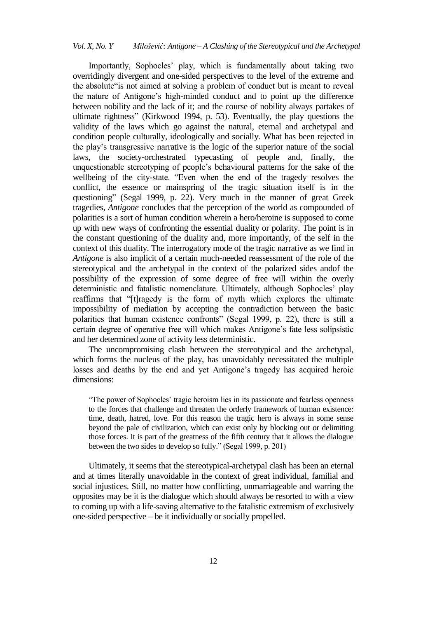Importantly, Sophocles" play, which is fundamentally about taking two overridingly divergent and one-sided perspectives to the level of the extreme and the absolute"is not aimed at solving a problem of conduct but is meant to reveal the nature of Antigone"s high-minded conduct and to point up the difference between nobility and the lack of it; and the course of nobility always partakes of ultimate rightness" (Kirkwood 1994, p. 53). Eventually, the play questions the validity of the laws which go against the natural, eternal and archetypal and condition people culturally, ideologically and socially. What has been rejected in the play"s transgressive narrative is the logic of the superior nature of the social laws, the society-orchestrated typecasting of people and, finally, the unquestionable stereotyping of people"s behavioural patterns for the sake of the wellbeing of the city-state. "Even when the end of the tragedy resolves the conflict, the essence or mainspring of the tragic situation itself is in the questioning" (Segal 1999, p. 22). Very much in the manner of great Greek tragedies, *Antigone* concludes that the perception of the world as compounded of polarities is a sort of human condition wherein a hero/heroine is supposed to come up with new ways of confronting the essential duality or polarity. The point is in the constant questioning of the duality and, more importantly, of the self in the context of this duality. The interrogatory mode of the tragic narrative as we find in *Antigone* is also implicit of a certain much-needed reassessment of the role of the stereotypical and the archetypal in the context of the polarized sides andof the possibility of the expression of some degree of free will within the overly deterministic and fatalistic nomenclature. Ultimately, although Sophocles' play reaffirms that "[t]ragedy is the form of myth which explores the ultimate impossibility of mediation by accepting the contradiction between the basic polarities that human existence confronts" (Segal 1999, p. 22), there is still a certain degree of operative free will which makes Antigone"s fate less solipsistic and her determined zone of activity less deterministic.

The uncompromising clash between the stereotypical and the archetypal, which forms the nucleus of the play, has unavoidably necessitated the multiple losses and deaths by the end and yet Antigone's tragedy has acquired heroic dimensions:

"The power of Sophocles' tragic heroism lies in its passionate and fearless openness to the forces that challenge and threaten the orderly framework of human existence: time, death, hatred, love. For this reason the tragic hero is always in some sense beyond the pale of civilization, which can exist only by blocking out or delimiting those forces. It is part of the greatness of the fifth century that it allows the dialogue between the two sides to develop so fully." (Segal 1999, p. 201)

Ultimately, it seems that the stereotypical-archetypal clash has been an eternal and at times literally unavoidable in the context of great individual, familial and social injustices. Still, no matter how conflicting, unmarriageable and warring the opposites may be it is the dialogue which should always be resorted to with a view to coming up with a life-saving alternative to the fatalistic extremism of exclusively one-sided perspective – be it individually or socially propelled.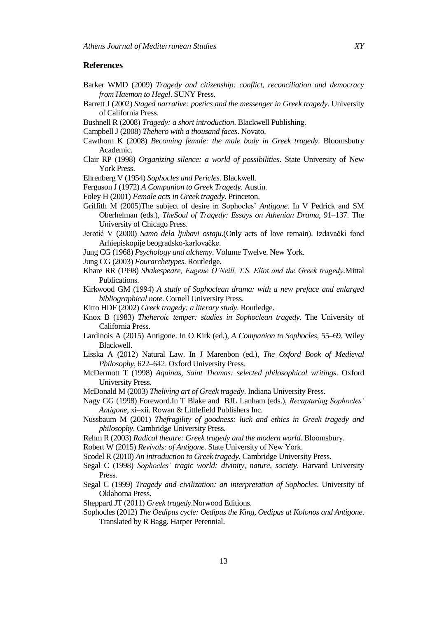## **References**

- Barker WMD (2009) *Tragedy and citizenship: conflict, reconciliation and democracy from Haemon to Hegel*. SUNY Press.
- Barrett J (2002) *Staged narrative: poetics and the messenger in Greek tragedy*. University of California Press.
- Bushnell R (2008) *Tragedy: a short introduction*. Blackwell Publishing.
- Campbell J (2008) *Thehero with a thousand faces*. Novato.
- Cawthorn K (2008) *Becoming female: the male body in Greek tragedy*. Bloomsbutry Academic.
- Clair RP (1998) *Organizing silence: a world of possibilities*. State University of New York Press.
- Ehrenberg V (1954) *Sophocles and Pericles*. Blackwell.
- Ferguson J (1972) *A Companion to Greek Tragedy*. Austin.
- Foley H (2001) *Female acts in Greek tragedy*. Princeton.
- Griffith M (2005)The subject of desire in Sophocles" *Antigone*. In V Pedrick and SM Oberhelman (eds.), *TheSoul of Tragedy: Essays on Athenian Drama*, 91–137. The University of Chicago Press.
- Jerotić V (2000) *Samo dela ljubavi ostaju*.(Only acts of love remain). Izdavački fond Arhiepiskopije beogradsko-karlovačke.
- Jung CG (1968) *Psychology and alchemy*. Volume Twelve. New York.
- Jung CG (2003) *Fourarchetypes*. Routledge.
- Khare RR (1998) *Shakespeare, Eugene O'Neill, T.S. Eliot and the Greek tragedy*.Mittal Publications.
- Kirkwood GM (1994) *A study of Sophoclean drama: with a new preface and enlarged bibliographical note*. Cornell University Press.
- Kitto HDF (2002) *Greek tragedy: a literary study*. Routledge.
- Knox B (1983) *Theheroic temper: studies in Sophoclean tragedy*. The University of California Press.
- Lardinois A (2015) Antigone. In O Kirk (ed.), *A Companion to Sophocles*, 55–69. Wiley Blackwell.
- Lisska A (2012) Natural Law. In J Marenbon (ed.), *The Oxford Book of Medieval Philosophy*, 622–642. Oxford University Press.
- McDermott T (1998) *Aquinas, Saint Thomas: selected philosophical writings*. Oxford University Press.
- McDonald M (2003) *Theliving art of Greek tragedy*. Indiana University Press.
- Nagy GG (1998) Foreword.In T Blake and BJL Lanham (eds.), *Recapturing Sophocles' Antigone*, xi–xii. Rowan & Littlefield Publishers Inc.
- Nussbaum M (2001) *Thefragility of goodness: luck and ethics in Greek tragedy and philosophy*. Cambridge University Press.
- Rehm R (2003) *Radical theatre: Greek tragedy and the modern world*. Bloomsbury.
- Robert W (2015) *Revivals: of Antigone*. State University of New York.
- Scodel R (2010) *An introduction to Greek tragedy*. Cambridge University Press.
- Segal C (1998) *Sophocles' tragic world: divinity, nature, society*. Harvard University Press.
- Segal C (1999) *Tragedy and civilization: an interpretation of Sophocles*. University of Oklahoma Press.
- Sheppard JT (2011) *Greek tragedy*.Norwood Editions.
- Sophocles (2012) *The Oedipus cycle: Oedipus the King, Oedipus at Kolonos and Antigone*. Translated by R Bagg. Harper Perennial.